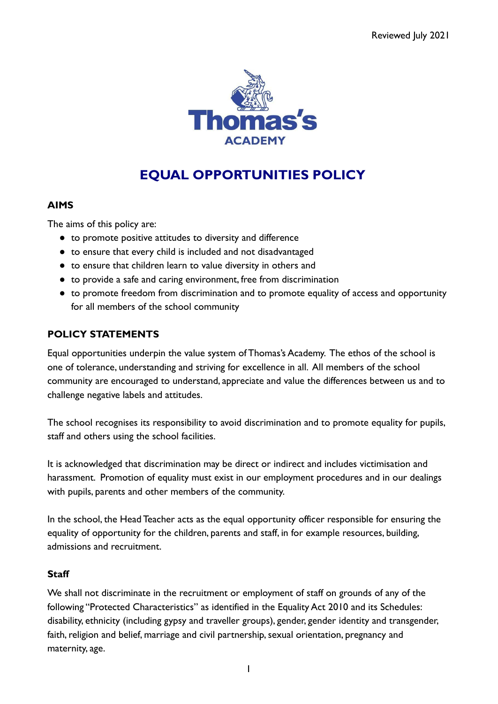

# **EQUAL OPPORTUNITIES POLICY**

# **AIMS**

The aims of this policy are:

- to promote positive attitudes to diversity and difference
- to ensure that every child is included and not disadvantaged
- to ensure that children learn to value diversity in others and
- to provide a safe and caring environment, free from discrimination
- to promote freedom from discrimination and to promote equality of access and opportunity for all members of the school community

## **POLICY STATEMENTS**

Equal opportunities underpin the value system of Thomas's Academy. The ethos of the school is one of tolerance, understanding and striving for excellence in all. All members of the school community are encouraged to understand, appreciate and value the differences between us and to challenge negative labels and attitudes.

The school recognises its responsibility to avoid discrimination and to promote equality for pupils, staff and others using the school facilities.

It is acknowledged that discrimination may be direct or indirect and includes victimisation and harassment. Promotion of equality must exist in our employment procedures and in our dealings with pupils, parents and other members of the community.

In the school, the Head Teacher acts as the equal opportunity officer responsible for ensuring the equality of opportunity for the children, parents and staff, in for example resources, building, admissions and recruitment.

#### **Staff**

We shall not discriminate in the recruitment or employment of staff on grounds of any of the following "Protected Characteristics" as identified in the Equality Act 2010 and its Schedules: disability, ethnicity (including gypsy and traveller groups), gender, gender identity and transgender, faith, religion and belief, marriage and civil partnership, sexual orientation, pregnancy and maternity, age.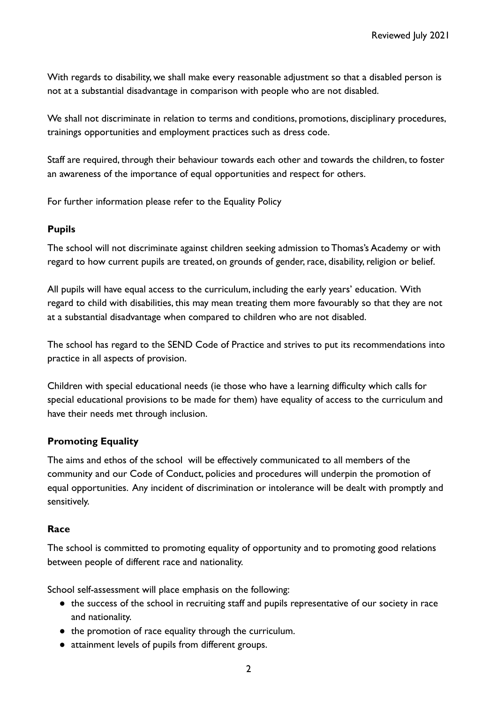With regards to disability, we shall make every reasonable adjustment so that a disabled person is not at a substantial disadvantage in comparison with people who are not disabled.

We shall not discriminate in relation to terms and conditions, promotions, disciplinary procedures, trainings opportunities and employment practices such as dress code.

Staff are required, through their behaviour towards each other and towards the children, to foster an awareness of the importance of equal opportunities and respect for others.

For further information please refer to the Equality Policy

## **Pupils**

The school will not discriminate against children seeking admission to Thomas's Academy or with regard to how current pupils are treated, on grounds of gender, race, disability, religion or belief.

All pupils will have equal access to the curriculum, including the early years' education. With regard to child with disabilities, this may mean treating them more favourably so that they are not at a substantial disadvantage when compared to children who are not disabled.

The school has regard to the SEND Code of Practice and strives to put its recommendations into practice in all aspects of provision.

Children with special educational needs (ie those who have a learning difficulty which calls for special educational provisions to be made for them) have equality of access to the curriculum and have their needs met through inclusion.

# **Promoting Equality**

The aims and ethos of the school will be effectively communicated to all members of the community and our Code of Conduct, policies and procedures will underpin the promotion of equal opportunities. Any incident of discrimination or intolerance will be dealt with promptly and sensitively.

# **Race**

The school is committed to promoting equality of opportunity and to promoting good relations between people of different race and nationality.

School self-assessment will place emphasis on the following:

- the success of the school in recruiting staff and pupils representative of our society in race and nationality.
- the promotion of race equality through the curriculum.
- attainment levels of pupils from different groups.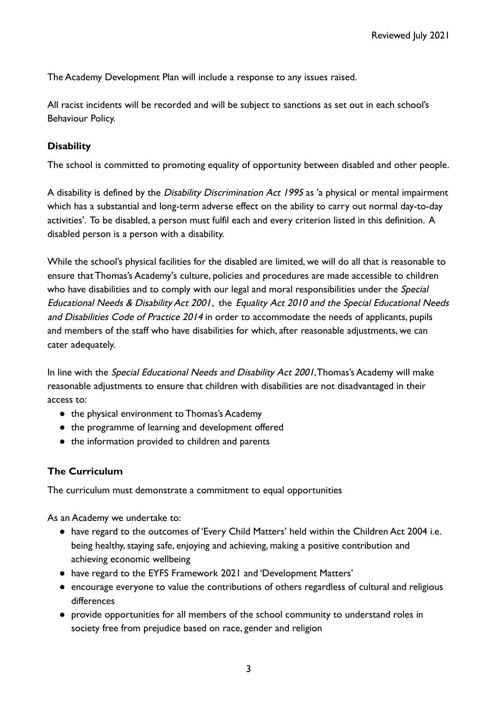The Academy Development Plan will include a response to any issues raised.

All racist incidents will be recorded and will be subject to sanctions as set out in each school's Behaviour Policy.

## **Disability**

The school is committed to promoting equality of opportunity between disabled and other people.

A disability is defined by the Disability Discrimination Act 1995 as 'a physical or mental impairment which has a substantial and long-term adverse effect on the ability to carry out normal day-to-day activities'. To be disabled, a person must fulfil each and every criterion listed in this definition. A disabled person is a person with a disability.

While the school's physical facilities for the disabled are limited, we will do all that is reasonable to ensure that Thomas's Academy's culture, policies and procedures are made accessible to children who have disabilities and to comply with our legal and moral responsibilities under the Special Educational Needs & Disability Act 2001, the Equality Act 2010 and the Special Educational Needs and Disabilities Code of Practice 2014 in order to accommodate the needs of applicants, pupils and members of the staff who have disabilities for which, after reasonable adjustments, we can cater adequately.

In line with the Special Educational Needs and Disability Act 2001, Thomas's Academy will make reasonable adjustments to ensure that children with disabilities are not disadvantaged in their access to:

- the physical environment to Thomas's Academy
- the programme of learning and development offered
- the information provided to children and parents

#### **The Curriculum**

The curriculum must demonstrate a commitment to equal opportunities

As an Academy we undertake to:

- have regard to the outcomes of 'Every Child Matters' held within the Children Act 2004 i.e. being healthy, staying safe, enjoying and achieving, making a positive contribution and achieving economic wellbeing
- have regard to the EYFS Framework 2021 and 'Development Matters'
- encourage everyone to value the contributions of others regardless of cultural and religious differences
- provide opportunities for all members of the school community to understand roles in society free from prejudice based on race, gender and religion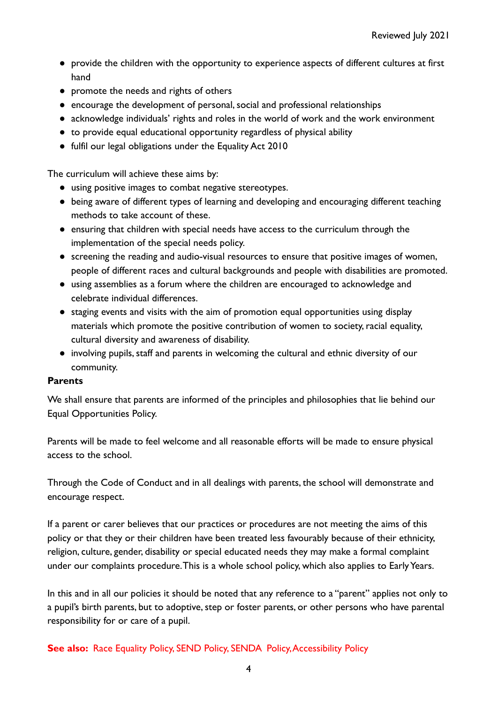- provide the children with the opportunity to experience aspects of different cultures at first hand
- promote the needs and rights of others
- encourage the development of personal, social and professional relationships
- acknowledge individuals' rights and roles in the world of work and the work environment
- to provide equal educational opportunity regardless of physical ability
- fulfil our legal obligations under the Equality Act 2010

The curriculum will achieve these aims by:

- using positive images to combat negative stereotypes.
- being aware of different types of learning and developing and encouraging different teaching methods to take account of these.
- ensuring that children with special needs have access to the curriculum through the implementation of the special needs policy.
- screening the reading and audio-visual resources to ensure that positive images of women, people of different races and cultural backgrounds and people with disabilities are promoted.
- using assemblies as a forum where the children are encouraged to acknowledge and celebrate individual differences.
- staging events and visits with the aim of promotion equal opportunities using display materials which promote the positive contribution of women to society, racial equality, cultural diversity and awareness of disability.
- involving pupils, staff and parents in welcoming the cultural and ethnic diversity of our community.

#### **Parents**

We shall ensure that parents are informed of the principles and philosophies that lie behind our Equal Opportunities Policy.

Parents will be made to feel welcome and all reasonable efforts will be made to ensure physical access to the school.

Through the Code of Conduct and in all dealings with parents, the school will demonstrate and encourage respect.

If a parent or carer believes that our practices or procedures are not meeting the aims of this policy or that they or their children have been treated less favourably because of their ethnicity, religion, culture, gender, disability or special educated needs they may make a formal complaint under our complaints procedure.This is a whole school policy, which also applies to Early Years.

In this and in all our policies it should be noted that any reference to a "parent" applies not only to a pupil's birth parents, but to adoptive, step or foster parents, or other persons who have parental responsibility for or care of a pupil.

**See also:** Race Equality Policy, SEND Policy, SENDA Policy, Accessibility Policy